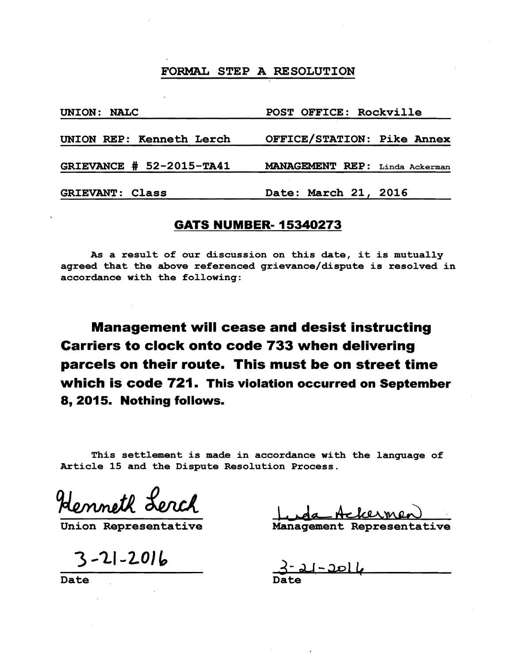## FORMAL STEP A RESOLUTION

| UNION: NALC              | POST OFFICE: Rockville         |
|--------------------------|--------------------------------|
| UNION REP: Kenneth Lerch | OFFICE/STATION: Pike Annex     |
| GRIEVANCE # 52-2015-TA41 | MANAGEMENT REP: Linda Ackerman |
| <b>GRIEVANT: Class</b>   | Date: March 21, 2016           |

## **GATS NUMBER-15340273**

As a result of our discussion on this date, it is mutually agreed that the above referenced grievance/dispute is resolved in accordance with the following:

**Management will cease and desist instructing Carriers to clock onto code 733 when delivering parcels on their route. This must be on street time which is code 721. This violation occurred on September 8, 2015. Nothing follows.** 

This settlement is made in accordance with the language of Article 15 and the Dispute Resolution Process.

Henneth Lerch

Union Representative Management Representative

 $3 - 21 - 2016$ 

Date Date Date